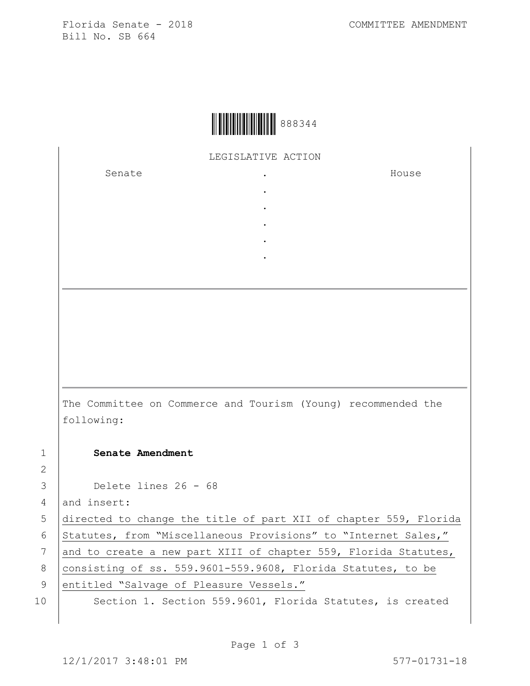Florida Senate - 2018 COMMITTEE AMENDMENT Bill No. SB 664



LEGISLATIVE ACTION

. . . . .

Senate the senate of the senate  $\cdot$ 

House

The Committee on Commerce and Tourism (Young) recommended the following:

1 **Senate Amendment** 

3 Delete lines 26 - 68

4 and insert:

5 directed to change the title of part XII of chapter 559, Florida 6 Statutes, from "Miscellaneous Provisions" to "Internet Sales," 7 and to create a new part XIII of chapter 559, Florida Statutes, 8  $|$  consisting of ss. 559.9601-559.9608, Florida Statutes, to be 9 entitled "Salvage of Pleasure Vessels."

2

10 Section 1. Section 559.9601, Florida Statutes, is created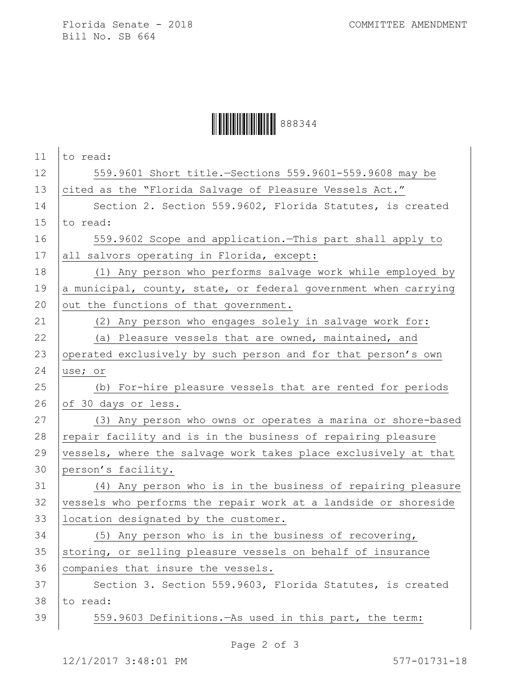Florida Senate - 2018 COMMITTEE AMENDMENT Bill No. SB 664

## Ì888344=Î888344

| 11 | to read:                                                        |
|----|-----------------------------------------------------------------|
| 12 | 559.9601 Short title. - Sections 559.9601-559.9608 may be       |
| 13 | cited as the "Florida Salvage of Pleasure Vessels Act."         |
| 14 | Section 2. Section 559.9602, Florida Statutes, is created       |
| 15 | to read:                                                        |
| 16 | 559.9602 Scope and application. This part shall apply to        |
| 17 | all salvors operating in Florida, except:                       |
| 18 | (1) Any person who performs salvage work while employed by      |
| 19 | a municipal, county, state, or federal government when carrying |
| 20 | out the functions of that government.                           |
| 21 | (2) Any person who engages solely in salvage work for:          |
| 22 | (a) Pleasure vessels that are owned, maintained, and            |
| 23 | operated exclusively by such person and for that person's own   |
| 24 | use; or                                                         |
| 25 | (b) For-hire pleasure vessels that are rented for periods       |
|    |                                                                 |
| 26 | of 30 days or less.                                             |
| 27 | (3) Any person who owns or operates a marina or shore-based     |
| 28 | repair facility and is in the business of repairing pleasure    |
| 29 | vessels, where the salvage work takes place exclusively at that |
| 30 | person's facility.                                              |
| 31 | (4) Any person who is in the business of repairing pleasure     |
| 32 | vessels who performs the repair work at a landside or shoreside |
| 33 | location designated by the customer.                            |
| 34 | (5) Any person who is in the business of recovering,            |
| 35 | storing, or selling pleasure vessels on behalf of insurance     |
| 36 | companies that insure the vessels.                              |
| 37 | Section 3. Section 559.9603, Florida Statutes, is created       |
| 38 | to read:                                                        |